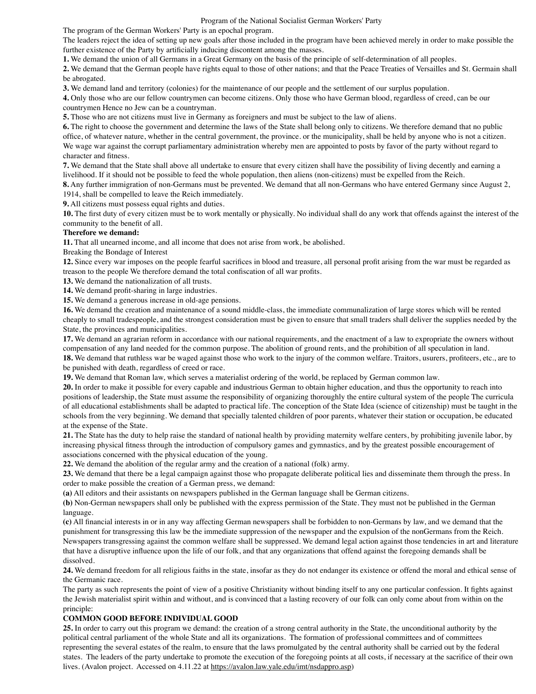Program of the National Socialist German Workers' Party

The program of the German Workers' Party is an epochal program.

The leaders reject the idea of setting up new goals after those included in the program have been achieved merely in order to make possible the further existence of the Party by artificially inducing discontent among the masses.

**1.** We demand the union of all Germans in a Great Germany on the basis of the principle of self-determination of all peoples.

**2.** We demand that the German people have rights equal to those of other nations; and that the Peace Treaties of Versailles and St. Germain shall be abrogated.

**3.** We demand land and territory (colonies) for the maintenance of our people and the settlement of our surplus population.

**4.** Only those who are our fellow countrymen can become citizens. Only those who have German blood, regardless of creed, can be our countrymen Hence no Jew can be a countryman.

**5.** Those who are not citizens must live in Germany as foreigners and must be subject to the law of aliens.

**6.** The right to choose the government and determine the laws of the State shall belong only to citizens. We therefore demand that no public office, of whatever nature, whether in the central government, the province. or the municipality, shall be held by anyone who is not a citizen. We wage war against the corrupt parliamentary administration whereby men are appointed to posts by favor of the party without regard to character and fitness.

**7.** We demand that the State shall above all undertake to ensure that every citizen shall have the possibility of living decently and earning a livelihood. If it should not be possible to feed the whole population, then aliens (non-citizens) must be expelled from the Reich.

**8.** Any further immigration of non-Germans must be prevented. We demand that all non-Germans who have entered Germany since August 2, 1914, shall be compelled to leave the Reich immediately.

**9.** All citizens must possess equal rights and duties.

**10.** The first duty of every citizen must be to work mentally or physically. No individual shall do any work that offends against the interest of the community to the benefit of all.

## **Therefore we demand:**

**11.** That all unearned income, and all income that does not arise from work, be abolished.

Breaking the Bondage of Interest

**12.** Since every war imposes on the people fearful sacrifices in blood and treasure, all personal profit arising from the war must be regarded as treason to the people We therefore demand the total confiscation of all war profits.

**13.** We demand the nationalization of all trusts.

**14.** We demand profit-sharing in large industries.

**15.** We demand a generous increase in old-age pensions.

**16.** We demand the creation and maintenance of a sound middle-class, the immediate communalization of large stores which will be rented cheaply to small tradespeople, and the strongest consideration must be given to ensure that small traders shall deliver the supplies needed by the State, the provinces and municipalities.

**17.** We demand an agrarian reform in accordance with our national requirements, and the enactment of a law to expropriate the owners without compensation of any land needed for the common purpose. The abolition of ground rents, and the prohibition of all speculation in land.

**18.** We demand that ruthless war be waged against those who work to the injury of the common welfare. Traitors, usurers, profiteers, etc., are to be punished with death, regardless of creed or race.

**19.** We demand that Roman law, which serves a materialist ordering of the world, be replaced by German common law.

**20.** In order to make it possible for every capable and industrious German to obtain higher education, and thus the opportunity to reach into positions of leadership, the State must assume the responsibility of organizing thoroughly the entire cultural system of the people The curricula of all educational establishments shall be adapted to practical life. The conception of the State Idea (science of citizenship) must be taught in the schools from the very beginning. We demand that specially talented children of poor parents, whatever their station or occupation, be educated at the expense of the State.

**21.** The State has the duty to help raise the standard of national health by providing maternity welfare centers, by prohibiting juvenile labor, by increasing physical fitness through the introduction of compulsory games and gymnastics, and by the greatest possible encouragement of associations concerned with the physical education of the young.

**22.** We demand the abolition of the regular army and the creation of a national (folk) army.

**23.** We demand that there be a legal campaign against those who propagate deliberate political lies and disseminate them through the press. In order to make possible the creation of a German press, we demand:

**(a)** All editors and their assistants on newspapers published in the German language shall be German citizens.

**(b)** Non-German newspapers shall only be published with the express permission of the State. They must not be published in the German language.

**(c)** All financial interests in or in any way affecting German newspapers shall be forbidden to non-Germans by law, and we demand that the punishment for transgressing this law be the immediate suppression of the newspaper and the expulsion of the nonGermans from the Reich. Newspapers transgressing against the common welfare shall be suppressed. We demand legal action against those tendencies in art and literature that have a disruptive influence upon the life of our folk, and that any organizations that offend against the foregoing demands shall be dissolved.

**24.** We demand freedom for all religious faiths in the state, insofar as they do not endanger its existence or offend the moral and ethical sense of the Germanic race.

The party as such represents the point of view of a positive Christianity without binding itself to any one particular confession. It fights against the Jewish materialist spirit within and without, and is convinced that a lasting recovery of our folk can only come about from within on the principle:

## **COMMON GOOD BEFORE INDIVIDUAL GOOD**

**25.** In order to carry out this program we demand: the creation of a strong central authority in the State, the unconditional authority by the political central parliament of the whole State and all its organizations. The formation of professional committees and of committees representing the several estates of the realm, to ensure that the laws promulgated by the central authority shall be carried out by the federal states. The leaders of the party undertake to promote the execution of the foregoing points at all costs, if necessary at the sacrifice of their own lives. (Avalon project. Accessed on 4.11.22 at <https://avalon.law.yale.edu/imt/nsdappro.asp>)